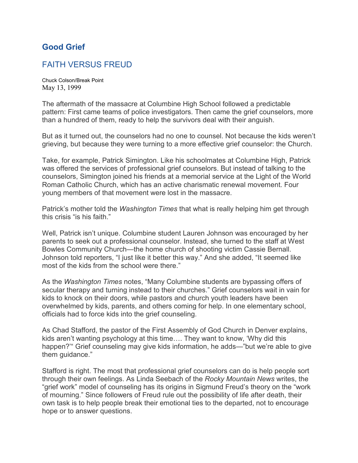## **Good Grief**

## FAITH VERSUS FREUD

Chuck Colson/Break Point May 13, 1999

The aftermath of the massacre at Columbine High School followed a predictable pattern: First came teams of police investigators. Then came the grief counselors, more than a hundred of them, ready to help the survivors deal with their anguish.

But as it turned out, the counselors had no one to counsel. Not because the kids weren't grieving, but because they were turning to a more effective grief counselor: the Church.

Take, for example, Patrick Simington. Like his schoolmates at Columbine High, Patrick was offered the services of professional grief counselors. But instead of talking to the counselors, Simington joined his friends at a memorial service at the Light of the World Roman Catholic Church, which has an active charismatic renewal movement. Four young members of that movement were lost in the massacre.

Patrick's mother told the *Washington Times* that what is really helping him get through this crisis "is his faith."

Well, Patrick isn't unique. Columbine student Lauren Johnson was encouraged by her parents to seek out a professional counselor. Instead, she turned to the staff at West Bowles Community Church—the home church of shooting victim Cassie Bernall. Johnson told reporters, "I just like it better this way." And she added, "It seemed like most of the kids from the school were there."

As the *Washington Times* notes, "Many Columbine students are bypassing offers of secular therapy and turning instead to their churches." Grief counselors wait in vain for kids to knock on their doors, while pastors and church youth leaders have been overwhelmed by kids, parents, and others coming for help. In one elementary school, officials had to force kids into the grief counseling.

As Chad Stafford, the pastor of the First Assembly of God Church in Denver explains, kids aren't wanting psychology at this time…. They want to know, 'Why did this happen?'" Grief counseling may give kids information, he adds—"but we're able to give them guidance."

Stafford is right. The most that professional grief counselors can do is help people sort through their own feelings. As Linda Seebach of the *Rocky Mountain News* writes, the "grief work" model of counseling has its origins in Sigmund Freud's theory on the "work of mourning." Since followers of Freud rule out the possibility of life after death, their own task is to help people break their emotional ties to the departed, not to encourage hope or to answer questions.